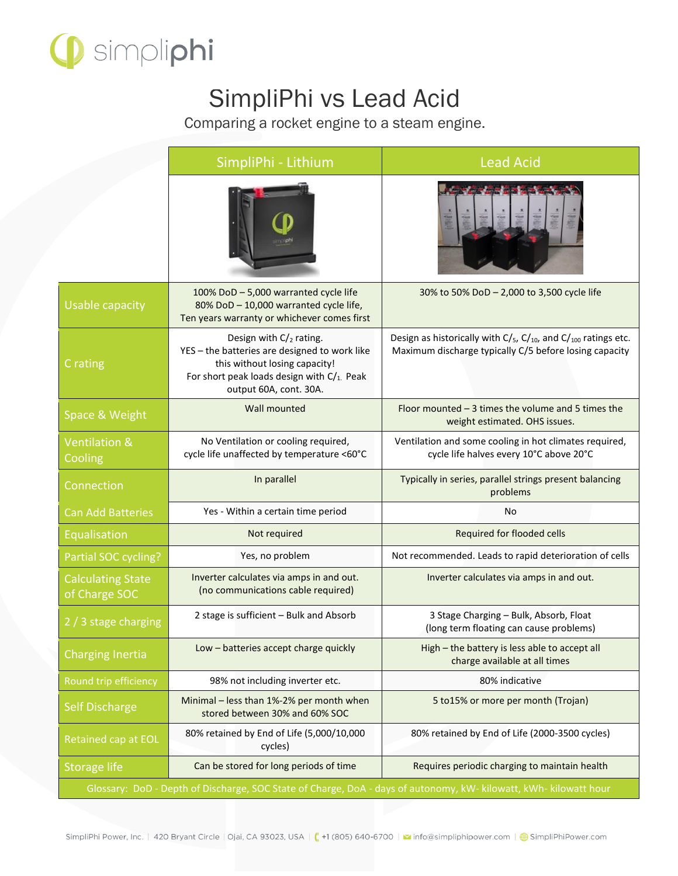

## SimpliPhi vs Lead Acid

Comparing a rocket engine to a steam engine.

|                                                                                                                   | SimpliPhi - Lithium                                                                                                                                                                       | <b>Lead Acid</b>                                                                                                                 |  |
|-------------------------------------------------------------------------------------------------------------------|-------------------------------------------------------------------------------------------------------------------------------------------------------------------------------------------|----------------------------------------------------------------------------------------------------------------------------------|--|
|                                                                                                                   |                                                                                                                                                                                           |                                                                                                                                  |  |
| <b>Usable capacity</b>                                                                                            | 100% DoD - 5,000 warranted cycle life<br>80% DoD - 10,000 warranted cycle life,<br>Ten years warranty or whichever comes first                                                            | 30% to 50% DoD - 2,000 to 3,500 cycle life                                                                                       |  |
| C rating                                                                                                          | Design with $C/2$ rating.<br>YES - the batteries are designed to work like<br>this without losing capacity!<br>For short peak loads design with $C/_{1}$ . Peak<br>output 60A, cont. 30A. | Design as historically with $C/s$ , $C/v_0$ , and $C/v_0$ ratings etc.<br>Maximum discharge typically C/5 before losing capacity |  |
| Space & Weight                                                                                                    | Wall mounted                                                                                                                                                                              | Floor mounted $-3$ times the volume and 5 times the<br>weight estimated. OHS issues.                                             |  |
| <b>Ventilation &amp;</b><br>Cooling                                                                               | No Ventilation or cooling required,<br>cycle life unaffected by temperature <60°C                                                                                                         | Ventilation and some cooling in hot climates required,<br>cycle life halves every 10°C above 20°C                                |  |
| Connection                                                                                                        | In parallel                                                                                                                                                                               | Typically in series, parallel strings present balancing<br>problems                                                              |  |
| <b>Can Add Batteries</b>                                                                                          | Yes - Within a certain time period                                                                                                                                                        | No                                                                                                                               |  |
| Equalisation                                                                                                      | Not required                                                                                                                                                                              | Required for flooded cells                                                                                                       |  |
| Partial SOC cycling?                                                                                              | Yes, no problem                                                                                                                                                                           | Not recommended. Leads to rapid deterioration of cells                                                                           |  |
| <b>Calculating State</b><br>of Charge SOC                                                                         | Inverter calculates via amps in and out.<br>(no communications cable required)                                                                                                            | Inverter calculates via amps in and out.                                                                                         |  |
| 2 / 3 stage charging                                                                                              | 2 stage is sufficient - Bulk and Absorb                                                                                                                                                   | 3 Stage Charging - Bulk, Absorb, Float<br>(long term floating can cause problems)                                                |  |
| Charging Inertia                                                                                                  | Low - batteries accept charge quickly                                                                                                                                                     | High - the battery is less able to accept all<br>charge available at all times                                                   |  |
| Round trip efficiency                                                                                             | 98% not including inverter etc.                                                                                                                                                           | 80% indicative                                                                                                                   |  |
| <b>Self Discharge</b>                                                                                             | Minimal - less than 1%-2% per month when<br>stored between 30% and 60% SOC                                                                                                                | 5 to 15% or more per month (Trojan)                                                                                              |  |
| Retained cap at EOL                                                                                               | 80% retained by End of Life (5,000/10,000<br>cycles)                                                                                                                                      | 80% retained by End of Life (2000-3500 cycles)                                                                                   |  |
| <b>Storage life</b>                                                                                               | Can be stored for long periods of time                                                                                                                                                    | Requires periodic charging to maintain health                                                                                    |  |
| Glossary: DoD - Depth of Discharge, SOC State of Charge, DoA - days of autonomy, kW- kilowatt, kWh- kilowatt hour |                                                                                                                                                                                           |                                                                                                                                  |  |